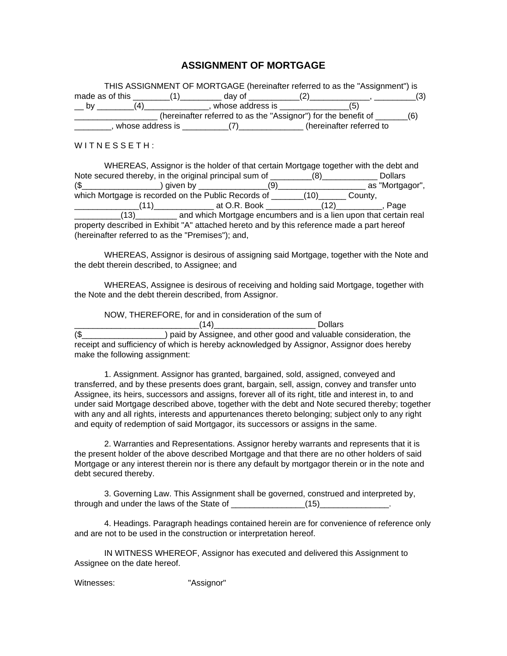## **ASSIGNMENT OF MORTGAGE**

|                  | THIS ASSIGNMENT OF MORTGAGE (hereinafter referred to as the "Assignment") is                                    |                          |     |
|------------------|-----------------------------------------------------------------------------------------------------------------|--------------------------|-----|
|                  |                                                                                                                 |                          | (3) |
| (4)<br><b>by</b> | whose address is more as the set of the set of the set of the set of the set of the set of the set of the set o | (5)                      |     |
|                  | (hereinafter referred to as the "Assignor") for the benefit of _______(6)                                       |                          |     |
|                  | whose address is $(7)$                                                                                          | (hereinafter referred to |     |

 $W$  I T N E S S E T H :

| WHEREAS, Assignor is the holder of that certain Mortgage together with the debt and        |                                                                                    |  |  |                |  |  |
|--------------------------------------------------------------------------------------------|------------------------------------------------------------------------------------|--|--|----------------|--|--|
| Note secured thereby, in the original principal sum of _________(8)_____________           |                                                                                    |  |  | <b>Dollars</b> |  |  |
|                                                                                            |                                                                                    |  |  |                |  |  |
| which Mortgage is recorded on the Public Records of _______(10)_______County,              |                                                                                    |  |  |                |  |  |
|                                                                                            | $(11)$ at O.R. Book $(12)$ ,                                                       |  |  | Page           |  |  |
|                                                                                            | (13) ___________ and which Mortgage encumbers and is a lien upon that certain real |  |  |                |  |  |
| property described in Exhibit "A" attached hereto and by this reference made a part hereof |                                                                                    |  |  |                |  |  |
| (hereinafter referred to as the "Premises"); and,                                          |                                                                                    |  |  |                |  |  |

WHEREAS, Assignor is desirous of assigning said Mortgage, together with the Note and the debt therein described, to Assignee; and

WHEREAS, Assignee is desirous of receiving and holding said Mortgage, together with the Note and the debt therein described, from Assignor.

NOW, THEREFORE, for and in consideration of the sum of

 $(14)$  Dollars (\$\_\_\_\_\_\_\_\_\_\_\_\_\_\_\_\_\_\_) paid by Assignee, and other good and valuable consideration, the receipt and sufficiency of which is hereby acknowledged by Assignor, Assignor does hereby make the following assignment:

1. Assignment. Assignor has granted, bargained, sold, assigned, conveyed and transferred, and by these presents does grant, bargain, sell, assign, convey and transfer unto Assignee, its heirs, successors and assigns, forever all of its right, title and interest in, to and under said Mortgage described above, together with the debt and Note secured thereby; together with any and all rights, interests and appurtenances thereto belonging; subject only to any right and equity of redemption of said Mortgagor, its successors or assigns in the same.

2. Warranties and Representations. Assignor hereby warrants and represents that it is the present holder of the above described Mortgage and that there are no other holders of said Mortgage or any interest therein nor is there any default by mortgagor therein or in the note and debt secured thereby.

3. Governing Law. This Assignment shall be governed, construed and interpreted by, through and under the laws of the State of  $(15)$ 

4. Headings. Paragraph headings contained herein are for convenience of reference only and are not to be used in the construction or interpretation hereof.

IN WITNESS WHEREOF, Assignor has executed and delivered this Assignment to Assignee on the date hereof.

Witnesses: **Witnesses: Witnesses: Witnesses: Witnesses: Witnesses: Witnesses: Witnesses: Witnesses: Witnesses: Witnesses: Witnesses: Witnesses: Witnesses: Witnesses: Witnesses: Witnesses: Wi**